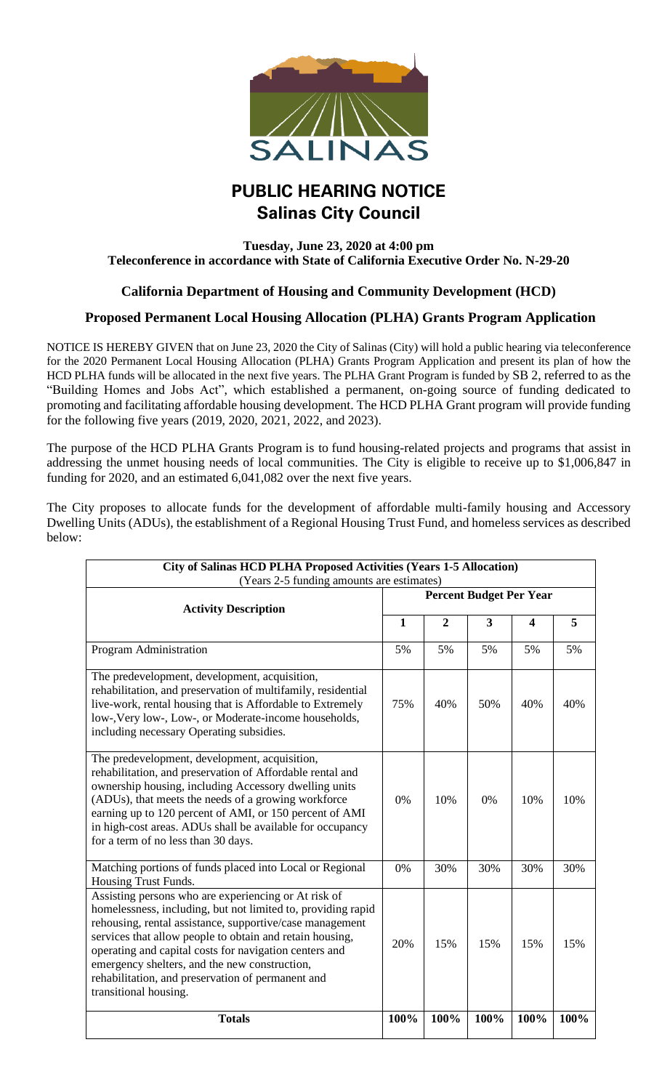

## **PUBLIC HEARING NOTICE Salinas City Council**

## **Tuesday, June 23, 2020 at 4:00 pm Teleconference in accordance with State of California Executive Order No. N-29-20**

## **California Department of Housing and Community Development (HCD)**

## **Proposed Permanent Local Housing Allocation (PLHA) Grants Program Application**

NOTICE IS HEREBY GIVEN that on June 23, 2020 the City of Salinas (City) will hold a public hearing via teleconference for the 2020 Permanent Local Housing Allocation (PLHA) Grants Program Application and present its plan of how the HCD PLHA funds will be allocated in the next five years. The PLHA Grant Program is funded by SB 2, referred to as the "Building Homes and Jobs Act", which established a permanent, on-going source of funding dedicated to promoting and facilitating affordable housing development. The HCD PLHA Grant program will provide funding for the following five years (2019, 2020, 2021, 2022, and 2023).

The purpose of the HCD PLHA Grants Program is to fund housing-related projects and programs that assist in addressing the unmet housing needs of local communities. The City is eligible to receive up to \$1,006,847 in funding for 2020, and an estimated 6,041,082 over the next five years.

The City proposes to allocate funds for the development of affordable multi-family housing and Accessory Dwelling Units (ADUs), the establishment of a Regional Housing Trust Fund, and homeless services as described below:

| <b>City of Salinas HCD PLHA Proposed Activities (Years 1-5 Allocation)</b><br>(Years 2-5 funding amounts are estimates)                                                                                                                                                                                                                                                                                                               |                                |                |                         |                         |      |
|---------------------------------------------------------------------------------------------------------------------------------------------------------------------------------------------------------------------------------------------------------------------------------------------------------------------------------------------------------------------------------------------------------------------------------------|--------------------------------|----------------|-------------------------|-------------------------|------|
| <b>Activity Description</b>                                                                                                                                                                                                                                                                                                                                                                                                           | <b>Percent Budget Per Year</b> |                |                         |                         |      |
|                                                                                                                                                                                                                                                                                                                                                                                                                                       | $\mathbf{1}$                   | $\overline{2}$ | $\overline{\mathbf{3}}$ | $\overline{\mathbf{4}}$ | 5    |
| Program Administration                                                                                                                                                                                                                                                                                                                                                                                                                | 5%                             | 5%             | 5%                      | 5%                      | 5%   |
| The predevelopment, development, acquisition,<br>rehabilitation, and preservation of multifamily, residential<br>live-work, rental housing that is Affordable to Extremely<br>low-, Very low-, Low-, or Moderate-income households,<br>including necessary Operating subsidies.                                                                                                                                                       | 75%                            | 40%            | 50%                     | 40%                     | 40%  |
| The predevelopment, development, acquisition,<br>rehabilitation, and preservation of Affordable rental and<br>ownership housing, including Accessory dwelling units<br>(ADUs), that meets the needs of a growing workforce<br>earning up to 120 percent of AMI, or 150 percent of AMI<br>in high-cost areas. ADUs shall be available for occupancy<br>for a term of no less than 30 days.                                             | 0%                             | 10%            | 0%                      | 10%                     | 10%  |
| Matching portions of funds placed into Local or Regional<br>Housing Trust Funds.                                                                                                                                                                                                                                                                                                                                                      | 0%                             | 30%            | 30%                     | 30%                     | 30%  |
| Assisting persons who are experiencing or At risk of<br>homelessness, including, but not limited to, providing rapid<br>rehousing, rental assistance, supportive/case management<br>services that allow people to obtain and retain housing,<br>operating and capital costs for navigation centers and<br>emergency shelters, and the new construction,<br>rehabilitation, and preservation of permanent and<br>transitional housing. | 20%                            | 15%            | 15%                     | 15%                     | 15%  |
| <b>Totals</b>                                                                                                                                                                                                                                                                                                                                                                                                                         | 100%                           | 100%           | 100%                    | 100%                    | 100% |